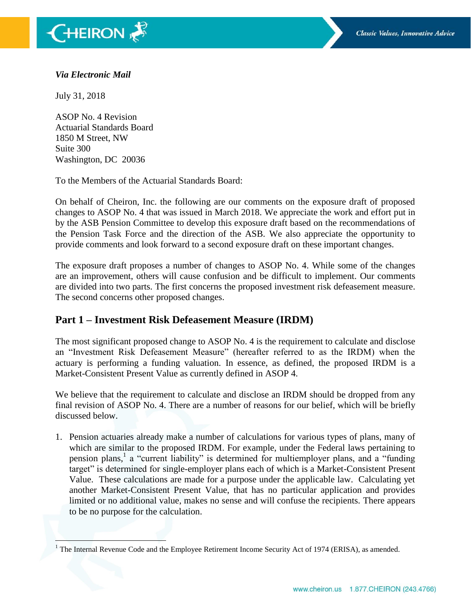

#### *Via Electronic Mail*

July 31, 2018

 $\overline{\phantom{a}}$ 

ASOP No. 4 Revision Actuarial Standards Board 1850 M Street, NW Suite 300 Washington, DC 20036

To the Members of the Actuarial Standards Board:

On behalf of Cheiron, Inc. the following are our comments on the exposure draft of proposed changes to ASOP No. 4 that was issued in March 2018. We appreciate the work and effort put in by the ASB Pension Committee to develop this exposure draft based on the recommendations of the Pension Task Force and the direction of the ASB. We also appreciate the opportunity to provide comments and look forward to a second exposure draft on these important changes.

The exposure draft proposes a number of changes to ASOP No. 4. While some of the changes are an improvement, others will cause confusion and be difficult to implement. Our comments are divided into two parts. The first concerns the proposed investment risk defeasement measure. The second concerns other proposed changes.

# **Part 1 – Investment Risk Defeasement Measure (IRDM)**

The most significant proposed change to ASOP No. 4 is the requirement to calculate and disclose an "Investment Risk Defeasement Measure" (hereafter referred to as the IRDM) when the actuary is performing a funding valuation. In essence, as defined, the proposed IRDM is a Market-Consistent Present Value as currently defined in ASOP 4.

We believe that the requirement to calculate and disclose an IRDM should be dropped from any final revision of ASOP No. 4. There are a number of reasons for our belief, which will be briefly discussed below.

1. Pension actuaries already make a number of calculations for various types of plans, many of which are similar to the proposed IRDM. For example, under the Federal laws pertaining to pension plans,<sup>1</sup> a "current liability" is determined for multiemployer plans, and a "funding target" is determined for single-employer plans each of which is a Market-Consistent Present Value. These calculations are made for a purpose under the applicable law. Calculating yet another Market-Consistent Present Value, that has no particular application and provides limited or no additional value, makes no sense and will confuse the recipients. There appears to be no purpose for the calculation.

 $1$  The Internal Revenue Code and the Employee Retirement Income Security Act of 1974 (ERISA), as amended.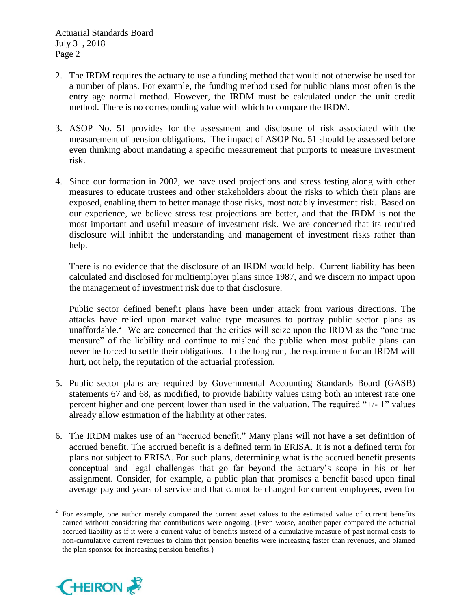Actuarial Standards Board July 31, 2018 Page 2

- 2. The IRDM requires the actuary to use a funding method that would not otherwise be used for a number of plans. For example, the funding method used for public plans most often is the entry age normal method. However, the IRDM must be calculated under the unit credit method. There is no corresponding value with which to compare the IRDM.
- 3. ASOP No. 51 provides for the assessment and disclosure of risk associated with the measurement of pension obligations. The impact of ASOP No. 51 should be assessed before even thinking about mandating a specific measurement that purports to measure investment risk.
- 4. Since our formation in 2002, we have used projections and stress testing along with other measures to educate trustees and other stakeholders about the risks to which their plans are exposed, enabling them to better manage those risks, most notably investment risk. Based on our experience, we believe stress test projections are better, and that the IRDM is not the most important and useful measure of investment risk. We are concerned that its required disclosure will inhibit the understanding and management of investment risks rather than help.

There is no evidence that the disclosure of an IRDM would help. Current liability has been calculated and disclosed for multiemployer plans since 1987, and we discern no impact upon the management of investment risk due to that disclosure.

Public sector defined benefit plans have been under attack from various directions. The attacks have relied upon market value type measures to portray public sector plans as unaffordable.<sup>2</sup> We are concerned that the critics will seize upon the IRDM as the "one true measure" of the liability and continue to mislead the public when most public plans can never be forced to settle their obligations. In the long run, the requirement for an IRDM will hurt, not help, the reputation of the actuarial profession.

- 5. Public sector plans are required by Governmental Accounting Standards Board (GASB) statements 67 and 68, as modified, to provide liability values using both an interest rate one percent higher and one percent lower than used in the valuation. The required "+/- 1" values already allow estimation of the liability at other rates.
- 6. The IRDM makes use of an "accrued benefit." Many plans will not have a set definition of accrued benefit. The accrued benefit is a defined term in ERISA. It is not a defined term for plans not subject to ERISA. For such plans, determining what is the accrued benefit presents conceptual and legal challenges that go far beyond the actuary's scope in his or her assignment. Consider, for example, a public plan that promises a benefit based upon final average pay and years of service and that cannot be changed for current employees, even for

 $\frac{1}{2}$ For example, one author merely compared the current asset values to the estimated value of current benefits earned without considering that contributions were ongoing. (Even worse, another paper compared the actuarial accrued liability as if it were a current value of benefits instead of a cumulative measure of past normal costs to non-cumulative current revenues to claim that pension benefits were increasing faster than revenues, and blamed the plan sponsor for increasing pension benefits.)

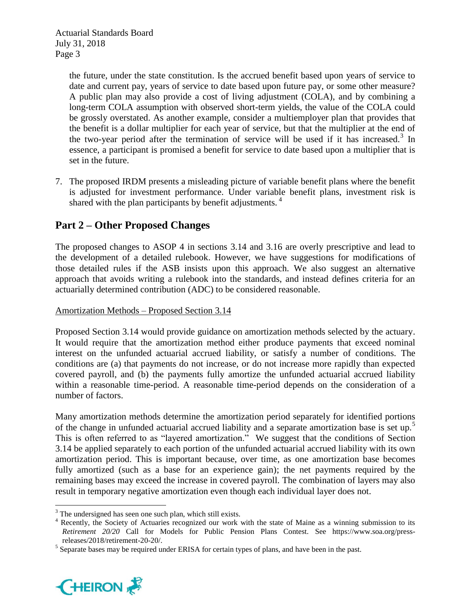the future, under the state constitution. Is the accrued benefit based upon years of service to date and current pay, years of service to date based upon future pay, or some other measure? A public plan may also provide a cost of living adjustment (COLA), and by combining a long-term COLA assumption with observed short-term yields, the value of the COLA could be grossly overstated. As another example, consider a multiemployer plan that provides that the benefit is a dollar multiplier for each year of service, but that the multiplier at the end of the two-year period after the termination of service will be used if it has increased.<sup>3</sup> In essence, a participant is promised a benefit for service to date based upon a multiplier that is set in the future.

7. The proposed IRDM presents a misleading picture of variable benefit plans where the benefit is adjusted for investment performance. Under variable benefit plans, investment risk is shared with the plan participants by benefit adjustments.  $4\overline{ }$ 

# **Part 2 – Other Proposed Changes**

The proposed changes to ASOP 4 in sections 3.14 and 3.16 are overly prescriptive and lead to the development of a detailed rulebook. However, we have suggestions for modifications of those detailed rules if the ASB insists upon this approach. We also suggest an alternative approach that avoids writing a rulebook into the standards, and instead defines criteria for an actuarially determined contribution (ADC) to be considered reasonable.

# Amortization Methods – Proposed Section 3.14

Proposed Section 3.14 would provide guidance on amortization methods selected by the actuary. It would require that the amortization method either produce payments that exceed nominal interest on the unfunded actuarial accrued liability, or satisfy a number of conditions. The conditions are (a) that payments do not increase, or do not increase more rapidly than expected covered payroll, and (b) the payments fully amortize the unfunded actuarial accrued liability within a reasonable time-period. A reasonable time-period depends on the consideration of a number of factors.

Many amortization methods determine the amortization period separately for identified portions of the change in unfunded actuarial accrued liability and a separate amortization base is set up.<sup>5</sup> This is often referred to as "layered amortization." We suggest that the conditions of Section 3.14 be applied separately to each portion of the unfunded actuarial accrued liability with its own amortization period. This is important because, over time, as one amortization base becomes fully amortized (such as a base for an experience gain); the net payments required by the remaining bases may exceed the increase in covered payroll. The combination of layers may also result in temporary negative amortization even though each individual layer does not.

 $<sup>5</sup>$  Separate bases may be required under ERISA for certain types of plans, and have been in the past.</sup>



 $\overline{a}$ <sup>3</sup> The undersigned has seen one such plan, which still exists.

<sup>&</sup>lt;sup>4</sup> Recently, the Society of Actuaries recognized our work with the state of Maine as a winning submission to its *Retirement 20/20* Call for Models for Public Pension Plans Contest. See https://www.soa.org/pressreleases/2018/retirement-20-20/.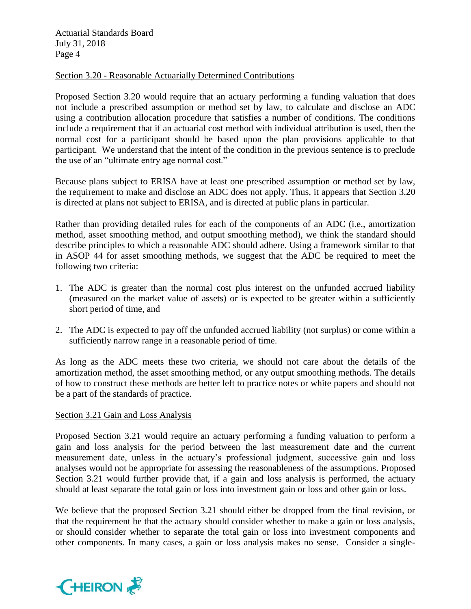Actuarial Standards Board July 31, 2018 Page 4

#### Section 3.20 - Reasonable Actuarially Determined Contributions

Proposed Section 3.20 would require that an actuary performing a funding valuation that does not include a prescribed assumption or method set by law, to calculate and disclose an ADC using a contribution allocation procedure that satisfies a number of conditions. The conditions include a requirement that if an actuarial cost method with individual attribution is used, then the normal cost for a participant should be based upon the plan provisions applicable to that participant. We understand that the intent of the condition in the previous sentence is to preclude the use of an "ultimate entry age normal cost."

Because plans subject to ERISA have at least one prescribed assumption or method set by law, the requirement to make and disclose an ADC does not apply. Thus, it appears that Section 3.20 is directed at plans not subject to ERISA, and is directed at public plans in particular.

Rather than providing detailed rules for each of the components of an ADC (i.e., amortization method, asset smoothing method, and output smoothing method), we think the standard should describe principles to which a reasonable ADC should adhere. Using a framework similar to that in ASOP 44 for asset smoothing methods, we suggest that the ADC be required to meet the following two criteria:

- 1. The ADC is greater than the normal cost plus interest on the unfunded accrued liability (measured on the market value of assets) or is expected to be greater within a sufficiently short period of time, and
- 2. The ADC is expected to pay off the unfunded accrued liability (not surplus) or come within a sufficiently narrow range in a reasonable period of time.

As long as the ADC meets these two criteria, we should not care about the details of the amortization method, the asset smoothing method, or any output smoothing methods. The details of how to construct these methods are better left to practice notes or white papers and should not be a part of the standards of practice.

### Section 3.21 Gain and Loss Analysis

Proposed Section 3.21 would require an actuary performing a funding valuation to perform a gain and loss analysis for the period between the last measurement date and the current measurement date, unless in the actuary's professional judgment, successive gain and loss analyses would not be appropriate for assessing the reasonableness of the assumptions. Proposed Section 3.21 would further provide that, if a gain and loss analysis is performed, the actuary should at least separate the total gain or loss into investment gain or loss and other gain or loss.

We believe that the proposed Section 3.21 should either be dropped from the final revision, or that the requirement be that the actuary should consider whether to make a gain or loss analysis, or should consider whether to separate the total gain or loss into investment components and other components. In many cases, a gain or loss analysis makes no sense. Consider a single-